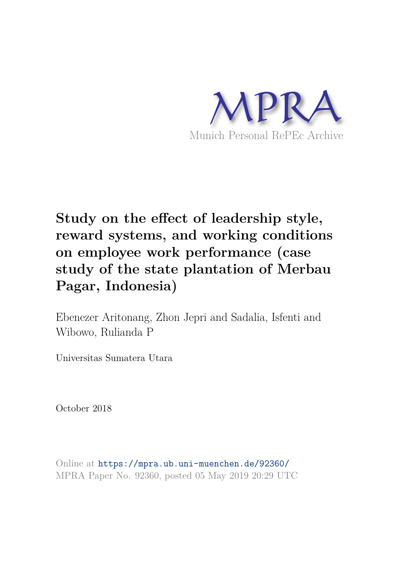

# **Study on the effect of leadership style, reward systems, and working conditions on employee work performance (case study of the state plantation of Merbau Pagar, Indonesia)**

Ebenezer Aritonang, Zhon Jepri and Sadalia, Isfenti and Wibowo, Rulianda P

Universitas Sumatera Utara

October 2018

Online at https://mpra.ub.uni-muenchen.de/92360/ MPRA Paper No. 92360, posted 05 May 2019 20:29 UTC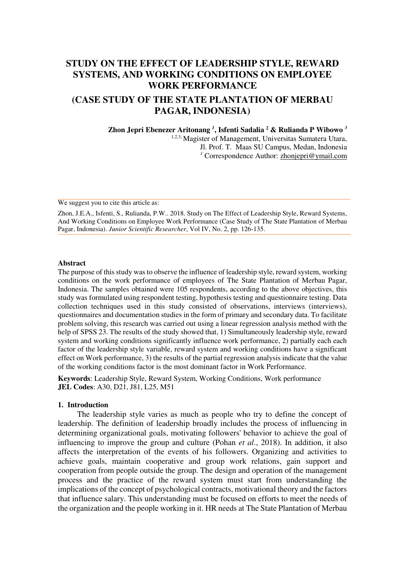# **STUDY ON THE EFFECT OF LEADERSHIP STYLE, REWARD SYSTEMS, AND WORKING CONDITIONS ON EMPLOYEE WORK PERFORMANCE**

# **(CASE STUDY OF THE STATE PLANTATION OF MERBAU PAGAR, INDONESIA)**

**Zhon Jepri Ebenezer Aritonang** *<sup>1</sup>* **, Isfenti Sadalia <sup>2</sup> & Rulianda P Wibowo** *<sup>3</sup>* 1,2,3, Magister of Management, Universitas Sumatera Utara, Jl. Prof. T. Maas SU Campus, Medan, Indonesia <sup>1</sup> Correspondence Author: zhonjepri@ymail.com

We suggest you to cite this article as:

Zhon, J.E.A., Isfenti, S., Rulianda, P.W.. 2018. Study on The Effect of Leadership Style, Reward Systems, And Working Conditions on Employee Work Performance (Case Study of The State Plantation of Merbau Pagar, Indonesia). *Junior Scientific Researcher*, Vol IV, No. 2, pp. 126-135.

#### **Abstract**

The purpose of this study was to observe the influence of leadership style, reward system, working conditions on the work performance of employees of The State Plantation of Merbau Pagar, Indonesia. The samples obtained were 105 respondents, according to the above objectives, this study was formulated using respondent testing, hypothesis testing and questionnaire testing. Data collection techniques used in this study consisted of observations, interviews (interviews), questionnaires and documentation studies in the form of primary and secondary data. To facilitate problem solving, this research was carried out using a linear regression analysis method with the help of SPSS 23. The results of the study showed that, 1) Simultaneously leadership style, reward system and working conditions significantly influence work performance, 2) partially each each factor of the leadership style variable, reward system and working conditions have a significant effect on Work performance, 3) the results of the partial regression analysis indicate that the value of the working conditions factor is the most dominant factor in Work Performance.

**Keywords**: Leadership Style, Reward System, Working Conditions, Work performance **JEL Codes**: A30, D21, J81, L25, M51

#### **1. Introduction**

The leadership style varies as much as people who try to define the concept of leadership. The definition of leadership broadly includes the process of influencing in determining organizational goals, motivating followers' behavior to achieve the goal of influencing to improve the group and culture (Pohan *et al*., 2018). In addition, it also affects the interpretation of the events of his followers. Organizing and activities to achieve goals, maintain cooperative and group work relations, gain support and cooperation from people outside the group. The design and operation of the management process and the practice of the reward system must start from understanding the implications of the concept of psychological contracts, motivational theory and the factors that influence salary. This understanding must be focused on efforts to meet the needs of the organization and the people working in it. HR needs at The State Plantation of Merbau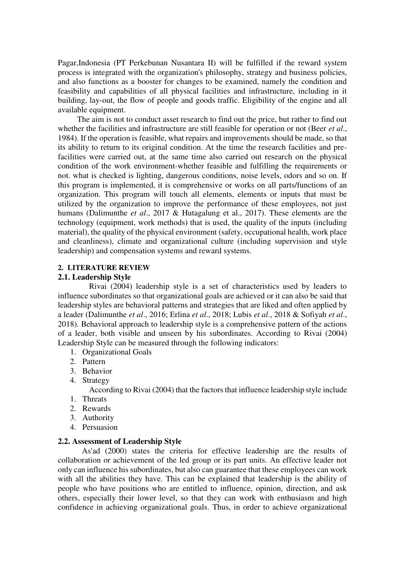Pagar,Indonesia (PT Perkebunan Nusantara II) will be fulfilled if the reward system process is integrated with the organization's philosophy, strategy and business policies, and also functions as a booster for changes to be examined, namely the condition and feasibility and capabilities of all physical facilities and infrastructure, including in it building, lay-out, the flow of people and goods traffic. Eligibility of the engine and all available equipment.

 The aim is not to conduct asset research to find out the price, but rather to find out whether the facilities and infrastructure are still feasible for operation or not (Beer *et al*., 1984). If the operation is feasible, what repairs and improvements should be made, so that its ability to return to its original condition. At the time the research facilities and prefacilities were carried out, at the same time also carried out research on the physical condition of the work environment-whether feasible and fulfilling the requirements or not. what is checked is lighting, dangerous conditions, noise levels, odors and so on. If this program is implemented, it is comprehensive or works on all parts/functions of an organization. This program will touch all elements, elements or inputs that must be utilized by the organization to improve the performance of these employees, not just humans (Dalimunthe *et al*., 2017 & Hutagalung et al., 2017). These elements are the technology (equipment, work methods) that is used, the quality of the inputs (including material), the quality of the physical environment (safety, occupational health, work place and cleanliness), climate and organizational culture (including supervision and style leadership) and compensation systems and reward systems.

## **2. LITERATURE REVIEW**

#### **2.1. Leadership Style**

 Rivai (2004) leadership style is a set of characteristics used by leaders to influence subordinates so that organizational goals are achieved or it can also be said that leadership styles are behavioral patterns and strategies that are liked and often applied by a leader (Dalimunthe *et al*., 2016; Erlina *et al*., 2018; Lubis *et al*., 2018 & Sofiyah *et al*., 2018). Behavioral approach to leadership style is a comprehensive pattern of the actions of a leader, both visible and unseen by his subordinates. According to Rivai (2004) Leadership Style can be measured through the following indicators:

- 1. Organizational Goals
- 2. Pattern
- 3. Behavior
- 4. Strategy

According to Rivai (2004) that the factors that influence leadership style include

- 1. Threats
- 2. Rewards
- 3. Authority
- 4. Persuasion

#### **2.2. Assessment of Leadership Style**

 As'ad (2000) states the criteria for effective leadership are the results of collaboration or achievement of the led group or its part units. An effective leader not only can influence his subordinates, but also can guarantee that these employees can work with all the abilities they have. This can be explained that leadership is the ability of people who have positions who are entitled to influence, opinion, direction, and ask others, especially their lower level, so that they can work with enthusiasm and high confidence in achieving organizational goals. Thus, in order to achieve organizational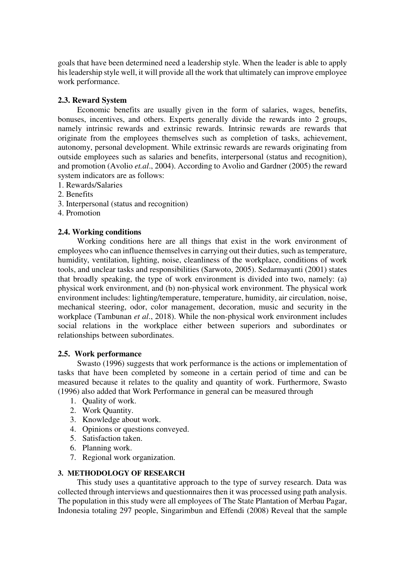goals that have been determined need a leadership style. When the leader is able to apply his leadership style well, it will provide all the work that ultimately can improve employee work performance.

## **2.3. Reward System**

 Economic benefits are usually given in the form of salaries, wages, benefits, bonuses, incentives, and others. Experts generally divide the rewards into 2 groups, namely intrinsic rewards and extrinsic rewards. Intrinsic rewards are rewards that originate from the employees themselves such as completion of tasks, achievement, autonomy, personal development. While extrinsic rewards are rewards originating from outside employees such as salaries and benefits, interpersonal (status and recognition), and promotion (Avolio *et.al*., 2004). According to Avolio and Gardner (2005) the reward system indicators are as follows:

- 1. Rewards/Salaries
- 2. Benefits
- 3. Interpersonal (status and recognition)
- 4. Promotion

#### **2.4. Working conditions**

 Working conditions here are all things that exist in the work environment of employees who can influence themselves in carrying out their duties, such as temperature, humidity, ventilation, lighting, noise, cleanliness of the workplace, conditions of work tools, and unclear tasks and responsibilities (Sarwoto, 2005). Sedarmayanti (2001) states that broadly speaking, the type of work environment is divided into two, namely: (a) physical work environment, and (b) non-physical work environment. The physical work environment includes: lighting/temperature, temperature, humidity, air circulation, noise, mechanical steering, odor, color management, decoration, music and security in the workplace (Tambunan *et al*., 2018). While the non-physical work environment includes social relations in the workplace either between superiors and subordinates or relationships between subordinates.

#### **2.5. Work performance**

 Swasto (1996) suggests that work performance is the actions or implementation of tasks that have been completed by someone in a certain period of time and can be measured because it relates to the quality and quantity of work. Furthermore, Swasto (1996) also added that Work Performance in general can be measured through

- 1. Quality of work.
- 2. Work Quantity.
- 3. Knowledge about work.
- 4. Opinions or questions conveyed.
- 5. Satisfaction taken.
- 6. Planning work.
- 7. Regional work organization.

## **3. METHODOLOGY OF RESEARCH**

 This study uses a quantitative approach to the type of survey research. Data was collected through interviews and questionnaires then it was processed using path analysis. The population in this study were all employees of The State Plantation of Merbau Pagar, Indonesia totaling 297 people, Singarimbun and Effendi (2008) Reveal that the sample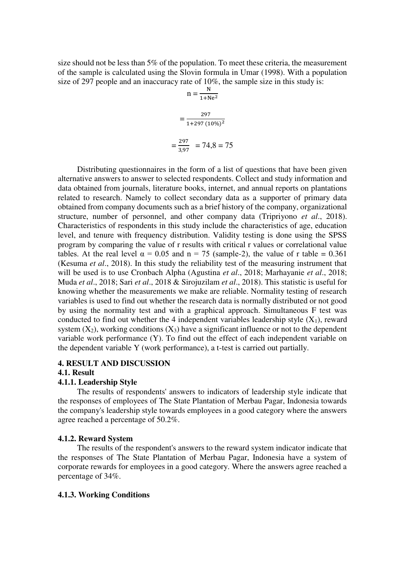size should not be less than 5% of the population. To meet these criteria, the measurement of the sample is calculated using the Slovin formula in Umar (1998). With a population size of 297 people and an inaccuracy rate of 10%, the sample size in this study is:

$$
n = \frac{N}{1 + Ne^{2}}
$$

$$
= \frac{297}{1 + 297 (10\%)^{2}}
$$

$$
= \frac{297}{3,97} = 74,8 = 75
$$

 Distributing questionnaires in the form of a list of questions that have been given alternative answers to answer to selected respondents. Collect and study information and data obtained from journals, literature books, internet, and annual reports on plantations related to research. Namely to collect secondary data as a supporter of primary data obtained from company documents such as a brief history of the company, organizational structure, number of personnel, and other company data (Tripriyono *et al*., 2018). Characteristics of respondents in this study include the characteristics of age, education level, and tenure with frequency distribution. Validity testing is done using the SPSS program by comparing the value of r results with critical r values or correlational value tables. At the real level  $\alpha = 0.05$  and  $n = 75$  (sample-2), the value of r table = 0.361 (Kesuma *et al*., 2018). In this study the reliability test of the measuring instrument that will be used is to use Cronbach Alpha (Agustina *et al*., 2018; Marhayanie *et al*., 2018; Muda *et al*., 2018; Sari *et al*., 2018 & Sirojuzilam *et al*., 2018). This statistic is useful for knowing whether the measurements we make are reliable. Normality testing of research variables is used to find out whether the research data is normally distributed or not good by using the normality test and with a graphical approach. Simultaneous F test was conducted to find out whether the 4 independent variables leadership style  $(X_1)$ , reward system  $(X_2)$ , working conditions  $(X_3)$  have a significant influence or not to the dependent variable work performance (Y). To find out the effect of each independent variable on the dependent variable Y (work performance), a t-test is carried out partially.

#### **4. RESULT AND DISCUSSION**

#### **4.1. Result**

#### **4.1.1. Leadership Style**

 The results of respondents' answers to indicators of leadership style indicate that the responses of employees of The State Plantation of Merbau Pagar, Indonesia towards the company's leadership style towards employees in a good category where the answers agree reached a percentage of 50.2%.

#### **4.1.2. Reward System**

 The results of the respondent's answers to the reward system indicator indicate that the responses of The State Plantation of Merbau Pagar, Indonesia have a system of corporate rewards for employees in a good category. Where the answers agree reached a percentage of 34%.

#### **4.1.3. Working Conditions**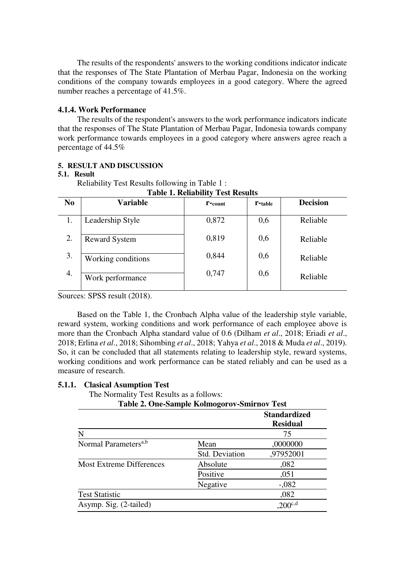The results of the respondents' answers to the working conditions indicator indicate that the responses of The State Plantation of Merbau Pagar, Indonesia on the working conditions of the company towards employees in a good category. Where the agreed number reaches a percentage of 41.5%.

## **4.1.4. Work Performance**

 The results of the respondent's answers to the work performance indicators indicate that the responses of The State Plantation of Merbau Pagar, Indonesia towards company work performance towards employees in a good category where answers agree reach a percentage of 44.5%

## **5. RESULT AND DISCUSSION**

## **5.1. Result**

Reliability Test Results following in Table 1 :

| N <sub>0</sub> | <b>Variable</b>      | $r$ -count | <b>T</b> -table | <b>Decision</b> |  |
|----------------|----------------------|------------|-----------------|-----------------|--|
|                |                      |            |                 |                 |  |
| 1.             | Leadership Style     | 0,872      | 0,6             | Reliable        |  |
| 2.             |                      | 0,819      | 0,6             |                 |  |
|                | <b>Reward System</b> |            |                 | Reliable        |  |
| 3.             | Working conditions   | 0,844      | 0,6             | Reliable        |  |
|                |                      |            |                 |                 |  |
| 4.             | Work performance     | 0,747      | 0,6             | Reliable        |  |
|                |                      |            |                 |                 |  |

**Table 1. Reliability Test Results** 

Sources: SPSS result (2018).

 Based on the Table 1, the Cronbach Alpha value of the leadership style variable, reward system, working conditions and work performance of each employee above is more than the Cronbach Alpha standard value of 0.6 (Dilham *et al*., 2018; Eriadi *et al*., 2018; Erlina *et al*., 2018; Sihombing *et al*., 2018; Yahya *et al*., 2018 & Muda *et al*., 2019). So, it can be concluded that all statements relating to leadership style, reward systems, working conditions and work performance can be stated reliably and can be used as a measure of research.

## **5.1.1. Clasical Asumption Test**

The Normality Test Results as a follows:

**Table 2. One-Sample Kolmogorov-Smirnov Test**

|                                  |                       | <b>Standardized</b><br><b>Residual</b> |
|----------------------------------|-----------------------|----------------------------------------|
| N                                |                       | 75                                     |
| Normal Parameters <sup>a,b</sup> | Mean                  | ,0000000                               |
|                                  | <b>Std. Deviation</b> | ,97952001                              |
| <b>Most Extreme Differences</b>  | Absolute              | ,082                                   |
|                                  | Positive              | ,051                                   |
|                                  | Negative              | $-.082$                                |
| <b>Test Statistic</b>            |                       | ,082                                   |
| Asymp. Sig. (2-tailed)           |                       | $200^{\circ,d}$                        |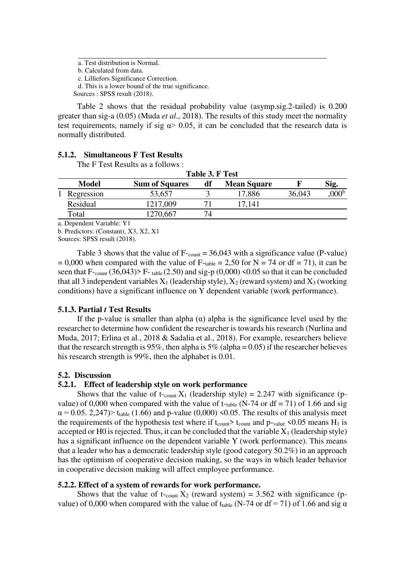a. Test distribution is Normal.

b. Calculated from data.

c. Lilliefors Significance Correction.

d. This is a lower bound of the true significance.

Sources : SPSS result (2018).

 Table 2 shows that the residual probability value (asymp.sig.2-tailed) is 0.200 greater than sig-a (0.05) (Muda *et al*., 2018). The results of this study meet the normality test requirements, namely if sig  $\alpha$  > 0.05, it can be concluded that the research data is normally distributed.

#### **5.1.2. Simultaneous F Test Results**

The F Test Results as a follows :

| Table 3. F Test |              |                       |    |                    |        |      |
|-----------------|--------------|-----------------------|----|--------------------|--------|------|
|                 | <b>Model</b> | <b>Sum of Squares</b> | df | <b>Mean Square</b> |        | Sig. |
|                 | Regression   | 53,657                |    | 17,886             | 36,043 |      |
|                 | Residual     | 1217,009              |    | 17.141             |        |      |
|                 | Total        | 1270,667              |    |                    |        |      |

a. Dependent Variable: Y1

b. Predictors: (Constant), X3, X2, X1

Sources: SPSS result (2018).

Table 3 shows that the value of  $F_{\text{-count}} = 36,043$  with a significance value (P-value)  $= 0,000$  when compared with the value of F-table = 2,50 for N = 74 or df = 71), it can be seen that  $F_{\text{-count}}(36,043)$  F-table (2.50) and sig-p (0,000) <0.05 so that it can be concluded that all 3 independent variables  $X_1$  (leadership style),  $X_2$  (reward system) and  $X_3$  (working conditions) have a significant influence on Y dependent variable (work performance).

## **5.1.3. Partial** *t* **Test Results**

If the p-value is smaller than alpha  $(\alpha)$  alpha is the significance level used by the researcher to determine how confident the researcher is towards his research (Nurlina and Muda, 2017; Erlina et al., 2018 & Sadalia et al., 2018). For example, researchers believe that the research strength is 95%, then alpha is  $5\%$  (alpha = 0.05) if the researcher believes his research strength is 99%, then the alphabet is 0.01.

## **5.2. Discussion**

## **5.2.1. Effect of leadership style on work performance**

Shows that the value of t-count  $X_1$  (leadership style) = 2.247 with significance (pvalue) of 0,000 when compared with the value of t-table (N-74 or df = 71) of 1.66 and sig  $\alpha$  = 0.05. 2,247) t<sub>table</sub> (1.66) and p-value (0,000) <0.05. The results of this analysis meet the requirements of the hypothesis test where if t<sub>count</sub>  $\epsilon_{\text{count}}$  and  $p_{\text{-value}}$  <0.05 means H<sub>1</sub> is accepted or H0 is rejected. Thus, it can be concluded that the variable  $X_1$  (leadership style) has a significant influence on the dependent variable Y (work performance). This means that a leader who has a democratic leadership style (good category 50.2%) in an approach has the optimism of cooperative decision making, so the ways in which leader behavior in cooperative decision making will affect employee performance.

## **5.2.2. Effect of a system of rewards for work performance.**

Shows that the value of t-count  $X_2$  (reward system) = 3.562 with significance (pvalue) of 0,000 when compared with the value of t<sub>table</sub> (N-74 or df = 71) of 1.66 and sig  $\alpha$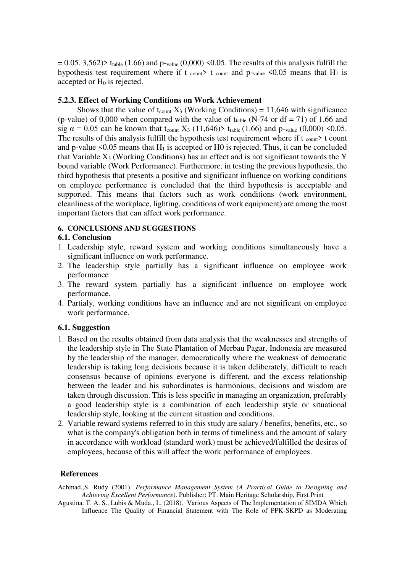$= 0.05.$  3,562) t<sub>table</sub> (1.66) and p-value (0,000) <0.05. The results of this analysis fulfill the hypothesis test requirement where if t count  $\lambda$  t count and p-value  $\leq 0.05$  means that H<sub>1</sub> is accepted or  $H_0$  is rejected.

#### **5.2.3. Effect of Working Conditions on Work Achievement**

Shows that the value of t<sub>count</sub>  $X_3$  (Working Conditions) = 11,646 with significance (p-value) of 0,000 when compared with the value of t<sub>table</sub> (N-74 or df = 71) of 1.66 and sig  $\alpha$  = 0.05 can be known that t<sub>count</sub> X<sub>3</sub> (11,646) t<sub>table</sub> (1.66) and p-value (0,000) <0.05. The results of this analysis fulfill the hypothesis test requirement where if t  $_{\text{count}}$  t count and p-value  $\leq 0.05$  means that H<sub>1</sub> is accepted or H0 is rejected. Thus, it can be concluded that Variable  $X_3$  (Working Conditions) has an effect and is not significant towards the Y bound variable (Work Performance). Furthermore, in testing the previous hypothesis, the third hypothesis that presents a positive and significant influence on working conditions on employee performance is concluded that the third hypothesis is acceptable and supported. This means that factors such as work conditions (work environment, cleanliness of the workplace, lighting, conditions of work equipment) are among the most important factors that can affect work performance.

## **6. CONCLUSIONS AND SUGGESTIONS**

### **6.1. Conclusion**

- 1. Leadership style, reward system and working conditions simultaneously have a significant influence on work performance.
- 2. The leadership style partially has a significant influence on employee work performance
- 3. The reward system partially has a significant influence on employee work performance.
- 4. Partialy, working conditions have an influence and are not significant on employee work performance.

#### **6.1. Suggestion**

- 1. Based on the results obtained from data analysis that the weaknesses and strengths of the leadership style in The State Plantation of Merbau Pagar, Indonesia are measured by the leadership of the manager, democratically where the weakness of democratic leadership is taking long decisions because it is taken deliberately, difficult to reach consensus because of opinions everyone is different, and the excess relationship between the leader and his subordinates is harmonious, decisions and wisdom are taken through discussion. This is less specific in managing an organization, preferably a good leadership style is a combination of each leadership style or situational leadership style, looking at the current situation and conditions.
- 2. Variable reward systems referred to in this study are salary / benefits, benefits, etc., so what is the company's obligation both in terms of timeliness and the amount of salary in accordance with workload (standard work) must be achieved/fulfilled the desires of employees, because of this will affect the work performance of employees.

#### **References**

Achmad,,S. Rudy (2001). *Performance Management System (A Practical Guide to Designing and Achieving Excellent Performance)*. Publisher: PT. Main Heritage Scholarship, First Print

Agustina. T. A. S., Lubis & Muda., I., (2018). Various Aspects of The Implementation of SIMDA Which Influence The Quality of Financial Statement with The Role of PPK-SKPD as Moderating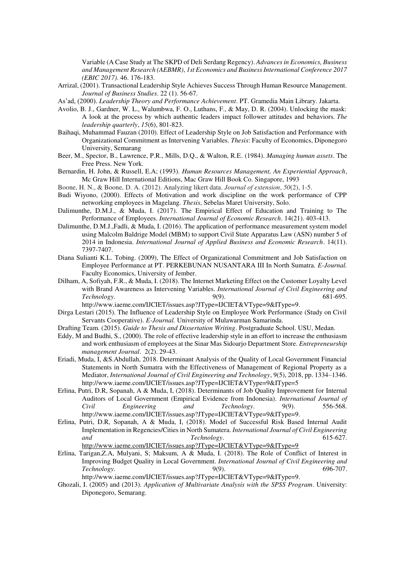Variable (A Case Study at The SKPD of Deli Serdang Regency). *Advances in Economics, Business and Management Research (AEBMR)*, *1st Economics and Business International Conference 2017 (EBIC 2017)*. 46. 176-183.

- Arrizal, (2001). Transactional Leadership Style Achieves Success Through Human Resource Management. *Journal of Business Studies*. 22 (1). 56-67.
- As'ad, (2000). *Leadership Theory and Performance Achievement*. PT. Gramedia Main Library. Jakarta.
- Avolio, B. J., Gardner, W. L., Walumbwa, F. O., Luthans, F., & May, D. R. (2004). Unlocking the mask: A look at the process by which authentic leaders impact follower attitudes and behaviors. *The leadership quarterly*, *15*(6), 801-823.
- Baihaqi, Muhammad Fauzan (2010). Effect of Leadership Style on Job Satisfaction and Performance with Organizational Commitment as Intervening Variables. *Thesis*: Faculty of Economics, Diponegoro University, Semarang
- Beer, M., Spector, B., Lawrence, P.R., Mills, D.Q., & Walton, R.E. (1984). *Managing human assets*. The Free Press. New York.
- Bernardin, H. John, & Russell, E.A; (1993). *Human Resources Management, An Experiential Approach*, Mc Graw Hill International Editions, Mac Graw Hill Book Co. Singapore, 1993
- Boone, H. N., & Boone, D. A. (2012). Analyzing likert data. *Journal of extension*, *50*(2), 1-5.
- Budi Wiyono, (2000). Effects of Motivation and work discipline on the work performance of CPP networking employees in Magelang. *Thesis*, Sebelas Maret University, Solo.
- Dalimunthe, D.M.J., & Muda, I. (2017). The Empirical Effect of Education and Training to The Performance of Employees. *International Journal of Economic Research*. 14(21). 403-413.
- Dalimunthe, D.M.J.,Fadli, & Muda, I. (2016). The application of performance measurement system model using Malcolm Baldrige Model (MBM) to support Civil State Apparatus Law (ASN) number 5 of 2014 in Indonesia. *International Journal of Applied Business and Economic Research*. 14(11). 7397-7407.
- Diana Sulianti K.L. Tobing. (2009), The Effect of Organizational Commitment and Job Satisfaction on Employee Performance at PT. PERKEBUNAN NUSANTARA III In North Sumatra. *E-Journal.* Faculty Economics, University of Jember.
- Dilham, A, Sofiyah, F.R., & Muda, I. (2018). The Internet Marketing Effect on the Customer Loyalty Level with Brand Awareness as Intervening Variables. *International Journal of Civil Engineering and Technology*. 9(9).
	- http://www.iaeme.com/IJCIET/issues.asp?JType=IJCIET&VType=9&IType=9.
- Dirga Lestari (2015). The Influence of Leadership Style on Employee Work Performance (Study on Civil Servants Cooperative). *E-Journal.* University of Mulawarman Samarinda.
- Drafting Team. (2015). *Guide to Thesis and Dissertation Writing*. Postgraduate School. USU, Medan.
- Eddy, M and Budhi, S., (2000). The role of effective leadership style in an effort to increase the enthusiasm and work enthusiasm of employees at the Sinar Mas Sidoarjo Department Store. *Entrepreneurship management Journal*. 2(2). 29-43.
- Eriadi, Muda, I, &S.Abdullah, 2018. Determinant Analysis of the Quality of Local Government Financial Statements in North Sumatra with the Effectiveness of Management of Regional Property as a Mediator, *International Journal of Civil Engineering and Technology*, 9(5), 2018, pp. 1334–1346. http://www.iaeme.com/IJCIET/issues.asp?JType=IJCIET&VType=9&IType=5
- Erlina, Putri, D.R, Sopanah, A & Muda, I, (2018). Determinants of Job Quality Improvement for Internal Auditors of Local Government (Empirical Evidence from Indonesia). *International Journal of Civil Engineering and Technology*. 9(9). 556-568. http://www.iaeme.com/IJCIET/issues.asp?JType=IJCIET&VType=9&IType=9.
- Erlina, Putri, D.R, Sopanah, A & Muda, I, (2018). Model of Successful Risk Based Internal Audit Implementation in Regencies/Cities in North Sumatera. *International Journal of Civil Engineering and Technology*. 615-627. <http://www.iaeme.com/IJCIET/issues.asp?JType=IJCIET&VType=9&IType=9>
- Erlina, Tarigan,Z.A, Mulyani, S; Maksum, A & Muda, I. (2018). The Role of Conflict of Interest in Improving Budget Quality in Local Government. *International Journal of Civil Engineering and Technology*. 9(9). 696-707. http://www.iaeme.com/IJCIET/issues.asp?JType=IJCIET&VType=9&IType=9.
- Ghozali, I. (2005) and (2013). *Application of Multivariate Analysis with the SPSS Program*. University: Diponegoro, Semarang.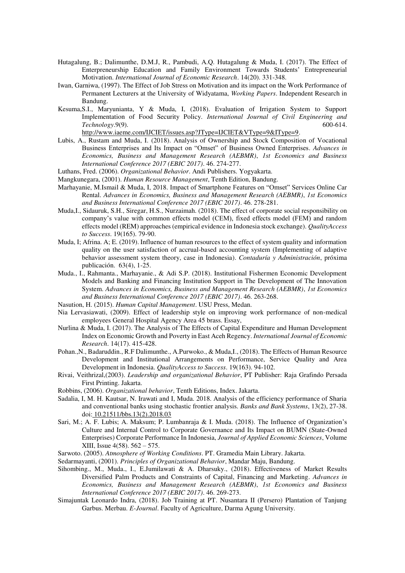- Hutagalung, B.; Dalimunthe, D.M.J, R., Pambudi, A.Q. Hutagalung & Muda, I. (2017). [The Effect of](http://serialsjournals.com/articlesview.php?volumesno_id=1384&article_id=21577&volumes_id=1068&journals_id=41)  [Enterpreneurship Education and Family Envir](http://serialsjournals.com/articlesview.php?volumesno_id=1384&article_id=21577&volumes_id=1068&journals_id=41)onment Towards Students' Entrepreneurial [Motivation.](http://serialsjournals.com/articlesview.php?volumesno_id=1384&article_id=21577&volumes_id=1068&journals_id=41) *International Journal of Economic Research*. 14(20). 331-348.
- Iwan, Garniwa, (1997). The Effect of Job Stress on Motivation and its impact on the Work Performance of Permanent Lecturers at the University of Widyatama, *Working Papers*. Independent Research in Bandung.
- Kesuma,S.I., Maryunianta, Y & Muda, I, (2018). Evaluation of Irrigation System to Support Implementation of Food Security Policy. *International Journal of Civil Engineering and Technology*.9(9). 600-614. [http://www.iaeme.com/IJCIET/issues.asp?JType=IJCIET&VType=9&IType=9.](http://www.iaeme.com/IJCIET/issues.asp?JType=IJCIET&VType=9&IType=9)
- Lubis, A., Rustam and Muda, I. (2018). Analysis of Ownership and Stock Composition of Vocational Business Enterprises and Its Impact on "Omset" of Business Owned Enterprises. *Advances in Economics, Business and Management Research (AEBMR)*, *1st Economics and Business International Conference 2017 (EBIC 2017)*. 46. 274-277.
- Luthans, Fred. (2006). *Organizational Behavior*. Andi Publishers. Yogyakarta.
- Mangkunegara, (2001). *Human Resource Management*, Tenth Edition, Bandung.
- Marhayanie, M.Ismail & Muda, I, 2018. Impact of Smartphone Features on "Omset" Services Online Car Rental. *Advances in Economics, Business and Management Research (AEBMR)*, *1st Economics and Business International Conference 2017 (EBIC 2017)*. 46. 278-281.
- Muda,I., Sidauruk, S.H., Siregar, H.S., Nurzaimah. (2018). The effect of corporate social responsibility on company's value with common effects model (CEM), fixed effects model (FEM) and random effects model (REM) approaches (empirical evidence in Indonesia stock exchange). *QualityAccess to Success*. 19(165). 79-90.
- Muda, I; Afrina. A; E. (2019). Influence of human resources to the effect of system quality and information quality on the user satisfaction of accrual-based accounting system (Implementing of adaptive behavior assessment system theory, case in Indonesia). *Contaduría y Administración*, próxima publicación. 63(4), 1-25.
- Muda., I., Rahmanta., Marhayanie., & Adi S.P. (2018). Institutional Fishermen Economic Development Models and Banking and Financing Institution Support in The Development of The Innovation System. *Advances in Economics, Business and Management Research (AEBMR)*, *1st Economics and Business International Conference 2017 (EBIC 2017)*. 46. 263-268.
- Nasution, H. (2015). *Human Capital Management*. USU Press, Medan.
- Nia Lervasiawati, (2009). Effect of leadership style on improving work performance of non-medical employees General Hospital Agency Area 45 brass. Essay,
- Nurlina & Muda, I. (2017). The Analysis of The Effects of Capital Expenditure and Human Development Index on Economic Growth and Poverty in East Aceh Regency. *International Journal of Economic Research*. 14(17). 415-428.
- Pohan.,N., Badaruddin., R.F Dalimunthe., A.Purwoko., & Muda,I., (2018). The Effects of Human Resource Development and Institutional Arrangements on Performance, Service Quality and Area Development in Indonesia. *QualityAccess to Success*. 19(163). 94-102.
- Rivai, Veithrizal,(2003). *Leadership and organizational Behavior*, PT Publisher: Raja Grafindo Persada First Printing. Jakarta.
- Robbins, (2006). *Organizational behavior*, Tenth Editions, Index. Jakarta.
- Sadalia, I, M. H. Kautsar, N. Irawati and I, Muda. 2018. Analysis of the efficiency performance of Sharia and conventional banks using stochastic frontier analysis. *Banks and Bank Systems*, 13(2), 27-38. doi[: 10.21511/bbs.13\(2\).2018.03](http://dx.doi.org/10.21511/bbs.13%282%29.2018.03)
- Sari, M.; A. F. Lubis; A. Maksum; P. Lumbanraja & I. Muda. (2018). The Influence of Organization's Culture and Internal Control to Corporate Governance and Its Impact on BUMN (State-Owned Enterprises) Corporate Performance In Indonesia, *Journal of Applied Economic Sciences*, Volume XIII, Issue 4(58). 562 – 575.
- Sarwoto. (2005). *Atmosphere of Working Conditions*. PT. Gramedia Main Library. Jakarta.
- Sedarmayanti, (2001). *Principles of Organizational Behavior*, Mandar Maju, Bandung.
- Sihombing., M., Muda., I., E.Jumilawati & A. Dharsuky., (2018). Effectiveness of Market Results Diversified Palm Products and Constraints of Capital, Financing and Marketing. *Advances in Economics, Business and Management Research (AEBMR)*, *1st Economics and Business International Conference 2017 (EBIC 2017)*. 46. 269-273.
- Simajuntak Leonardo Indra, (2018). Job Training at PT. Nusantara II (Persero) Plantation of Tanjung Garbus. Merbau. *E-Journal*. Faculty of Agriculture, Darma Agung University.